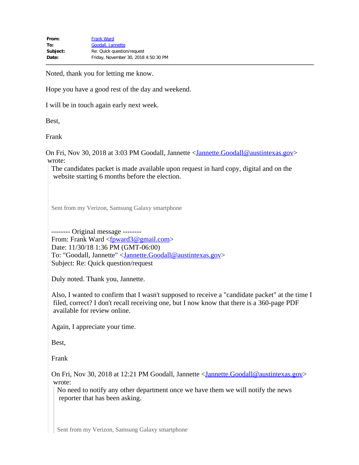Noted, thank you for letting me know.

Hope you have a good rest of the day and weekend.

I will be in touch again early next week.

Best,

Frank

On Fri, Nov 30, 2018 at 3:03 PM Goodall, Jannette [<Jannette.Goodall@austintexas.gov](mailto:Jannette.Goodall@austintexas.gov)> wrote:

The candidates packet is made available upon request in hard copy, digital and on the website starting 6 months before the election.

Sent from my Verizon, Samsung Galaxy smartphone

-------- Original message -------- From: Frank Ward <from  $\epsilon$  m/s  $\epsilon$  m/s  $\epsilon$  m/s  $\epsilon$  m/s  $\epsilon$  m/s  $\epsilon$  m/s  $\epsilon$  m/s  $\epsilon$  m/s  $\epsilon$  m/s  $\epsilon$  m/s  $\epsilon$  m/s  $\epsilon$  m/s  $\epsilon$  m/s  $\epsilon$  m/s  $\epsilon$  m/s  $\epsilon$  m/s  $\epsilon$  m/s  $\epsilon$  m/s  $\epsilon$  m/s  $\epsilon$  m/s  $\epsilon$  m/s  $\epsilon$  m/s Date: 11/30/18 1:36 PM (GMT-06:00) To: "Goodall, Jannette" <[Jannette.Goodall@austintexas.gov](mailto:Jannette.Goodall@austintexas.gov)> Subject: Re: Quick question/request

Duly noted. Thank you, Jannette.

Also, I wanted to confirm that I wasn't supposed to receive a "candidate packet" at the time I filed, correct? I don't recall receiving one, but I now know that there is a 360-page PDF available for review online.

Again, I appreciate your time.

Best,

Frank

On Fri, Nov 30, 2018 at 12:21 PM Goodall, Jannette [<Jannette.Goodall@austintexas.gov](mailto:Jannette.Goodall@austintexas.gov)> wrote:

No need to notify any other department once we have them we will notify the news reporter that has been asking.

Sent from my Verizon, Samsung Galaxy smartphone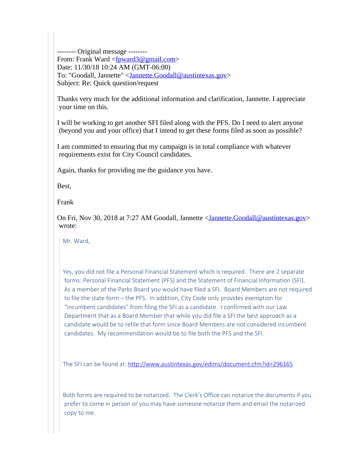-------- Original message -------- From: Frank Ward [<fpward3@gmail.com](mailto:fpward3@gmail.com)> Date: 11/30/18 10:24 AM (GMT-06:00) To: "Goodall, Jannette" <[Jannette.Goodall@austintexas.gov](mailto:Jannette.Goodall@austintexas.gov)> Subject: Re: Quick question/request

Thanks very much for the additional information and clarification, Jannette. I appreciate your time on this.

I will be working to get another SFI filed along with the PFS. Do I need to alert anyone (beyond you and your office) that I intend to get these forms filed as soon as possible?

I am committed to ensuring that my campaign is in total compliance with whatever requirements exist for City Council candidates.

Again, thanks for providing me the guidance you have.

Best,

Frank

On Fri, Nov 30, 2018 at 7:27 AM Goodall, Jannette <[Jannette.Goodall@austintexas.gov](mailto:Jannette.Goodall@austintexas.gov)> wrote:

Mr. Ward,

Yes, you did not file a Personal Financial Statement which is required. There are 2 separate forms: Personal Financial Statement (PFS) and the Statement of Financial Information (SFI). As a member of the Parks Board you would have filed a SFI. Board Members are not required to file the state form – the PFS. In addition, City Code only provides exemption for "incumbent candidates" from filing the SFI as a candidate. I confirmed with our Law Department that as a Board Member that while you did file a SFI the best approach as a candidate would be to refile that form since Board Members are not considered incumbent candidates. My recommendation would be to file both the PFS and the SFI.

The SFI can be found at:<http://www.austintexas.gov/edims/document.cfm?id=296165>

Both forms are required to be notarized. The Clerk's Office can notarize the documents if you prefer to come in person or you may have someone notarize them and email the notarized copy to me.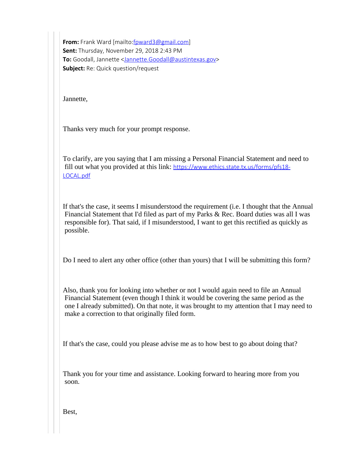**From:** Frank Ward [mailto: foward3@gmail.com] **Sent:** Thursday, November 29, 2018 2:43 PM **To:** Goodall, Jannette <[Jannette.Goodall@austintexas.gov](mailto:Jannette.Goodall@austintexas.gov)> **Subject:** Re: Quick question/request

Jannette,

Thanks very much for your prompt response.

To clarify, are you saying that I am missing a Personal Financial Statement and need to fill out what you provided at this link: [https://www.ethics.state.tx.us/forms/pfs18-](https://www.ethics.state.tx.us/forms/pfs18-LOCAL.pdf) [LOCAL.pdf](https://www.ethics.state.tx.us/forms/pfs18-LOCAL.pdf)

If that's the case, it seems I misunderstood the requirement (i.e. I thought that the Annual Financial Statement that I'd filed as part of my Parks & Rec. Board duties was all I was responsible for). That said, if I misunderstood, I want to get this rectified as quickly as possible.

Do I need to alert any other office (other than yours) that I will be submitting this form?

Also, thank you for looking into whether or not I would again need to file an Annual Financial Statement (even though I think it would be covering the same period as the one I already submitted). On that note, it was brought to my attention that I may need to make a correction to that originally filed form.

If that's the case, could you please advise me as to how best to go about doing that?

Thank you for your time and assistance. Looking forward to hearing more from you soon.

Best,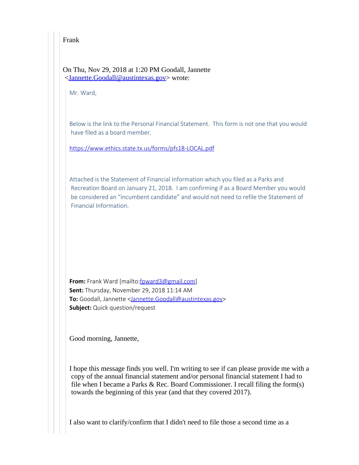Frank

On Thu, Nov 29, 2018 at 1:20 PM Goodall, Jannette [<Jannette.Goodall@austintexas.gov](mailto:Jannette.Goodall@austintexas.gov)> wrote:

Mr. Ward,

Below is the link to the Personal Financial Statement. This form is not one that you would have filed as a board member.

<https://www.ethics.state.tx.us/forms/pfs18-LOCAL.pdf>

Attached is the Statement of Financial Information which you filed as a Parks and Recreation Board on January 21, 2018. I am confirming if as a Board Member you would be considered an "incumbent candidate" and would not need to refile the Statement of Financial Information.

**From:** Frank Ward [mailto:[fpward3@gmail.com\]](mailto:fpward3@gmail.com) **Sent:** Thursday, November 29, 2018 11:14 AM **To:** Goodall, Jannette [<Jannette.Goodall@austintexas.gov](mailto:Jannette.Goodall@austintexas.gov)> **Subject:** Quick question/request

Good morning, Jannette,

I hope this message finds you well. I'm writing to see if can please provide me with a copy of the annual financial statement and/or personal financial statement I had to file when I became a Parks & Rec. Board Commissioner. I recall filing the form(s) towards the beginning of this year (and that they covered 2017).

I also want to clarify/confirm that I didn't need to file those a second time as a